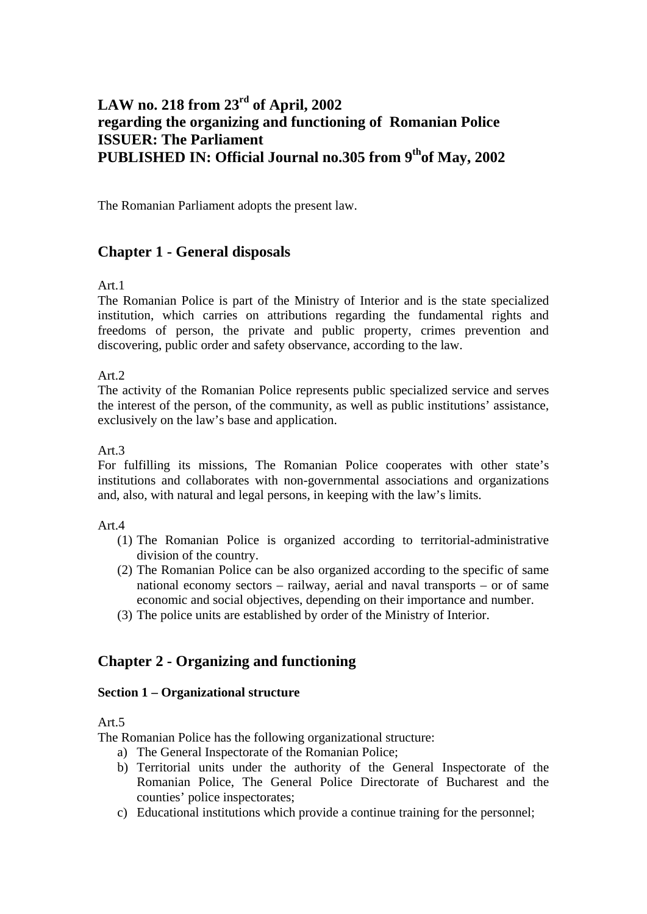# **LAW no. 218 from 23rd of April, 2002 regarding the organizing and functioning of Romanian Police ISSUER: The Parliament PUBLISHED IN: Official Journal no.305 from 9<sup>th</sup>of May, 2002**

The Romanian Parliament adopts the present law.

## **Chapter 1 - General disposals**

Art.1

The Romanian Police is part of the Ministry of Interior and is the state specialized institution, which carries on attributions regarding the fundamental rights and freedoms of person, the private and public property, crimes prevention and discovering, public order and safety observance, according to the law.

Art.2

The activity of the Romanian Police represents public specialized service and serves the interest of the person, of the community, as well as public institutions' assistance, exclusively on the law's base and application.

Art.3

For fulfilling its missions, The Romanian Police cooperates with other state's institutions and collaborates with non-governmental associations and organizations and, also, with natural and legal persons, in keeping with the law's limits.

### Art.4

- (1) The Romanian Police is organized according to territorial-administrative division of the country.
- (2) The Romanian Police can be also organized according to the specific of same national economy sectors – railway, aerial and naval transports – or of same economic and social objectives, depending on their importance and number.
- (3) The police units are established by order of the Ministry of Interior.

## **Chapter 2 - Organizing and functioning**

### **Section 1 – Organizational structure**

Art.5

The Romanian Police has the following organizational structure:

- a) The General Inspectorate of the Romanian Police;
- b) Territorial units under the authority of the General Inspectorate of the Romanian Police, The General Police Directorate of Bucharest and the counties' police inspectorates;
- c) Educational institutions which provide a continue training for the personnel;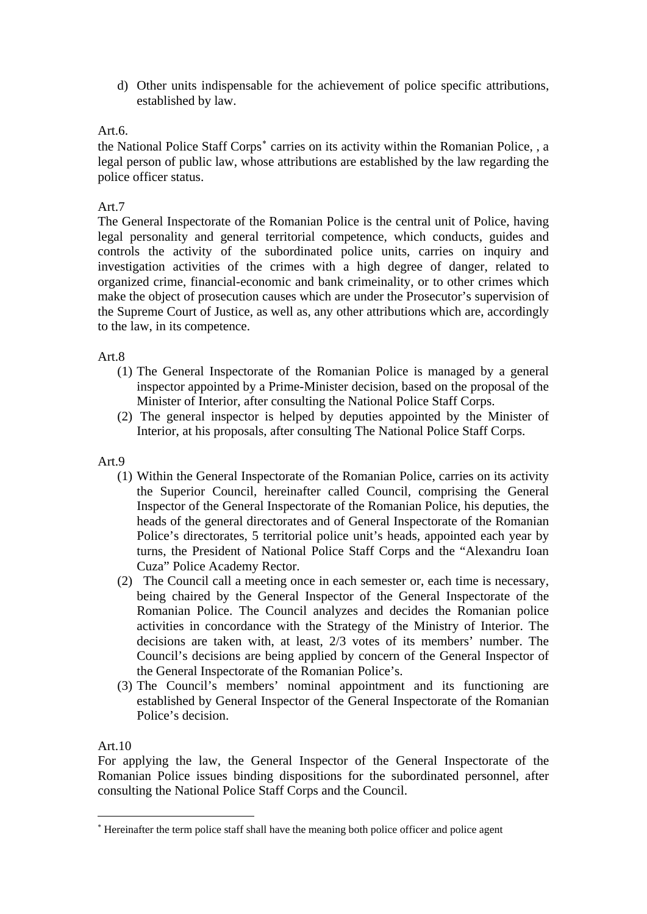d) Other units indispensable for the achievement of police specific attributions, established by law.

## Art.6.

the National Police Staff Corps<sup>\*</sup> carries on its activity within the Romanian Police, , a legal person of public law, whose attributions are established by the law regarding the police officer status.

## Art.7

The General Inspectorate of the Romanian Police is the central unit of Police, having legal personality and general territorial competence, which conducts, guides and controls the activity of the subordinated police units, carries on inquiry and investigation activities of the crimes with a high degree of danger, related to organized crime, financial-economic and bank crimeinality, or to other crimes which make the object of prosecution causes which are under the Prosecutor's supervision of the Supreme Court of Justice, as well as, any other attributions which are, accordingly to the law, in its competence.

### Art.8

- (1) The General Inspectorate of the Romanian Police is managed by a general inspector appointed by a Prime-Minister decision, based on the proposal of the Minister of Interior, after consulting the National Police Staff Corps.
- (2) The general inspector is helped by deputies appointed by the Minister of Interior, at his proposals, after consulting The National Police Staff Corps.

### Art.9

- (1) Within the General Inspectorate of the Romanian Police, carries on its activity the Superior Council, hereinafter called Council, comprising the General Inspector of the General Inspectorate of the Romanian Police, his deputies, the heads of the general directorates and of General Inspectorate of the Romanian Police's directorates, 5 territorial police unit's heads, appointed each year by turns, the President of National Police Staff Corps and the "Alexandru Ioan Cuza" Police Academy Rector.
- (2) The Council call a meeting once in each semester or, each time is necessary, being chaired by the General Inspector of the General Inspectorate of the Romanian Police. The Council analyzes and decides the Romanian police activities in concordance with the Strategy of the Ministry of Interior. The decisions are taken with, at least, 2/3 votes of its members' number. The Council's decisions are being applied by concern of the General Inspector of the General Inspectorate of the Romanian Police's.
- (3) The Council's members' nominal appointment and its functioning are established by General Inspector of the General Inspectorate of the Romanian Police's decision.

### Art.10

1

For applying the law, the General Inspector of the General Inspectorate of the Romanian Police issues binding dispositions for the subordinated personnel, after consulting the National Police Staff Corps and the Council.

<span id="page-1-0"></span><sup>∗</sup> Hereinafter the term police staff shall have the meaning both police officer and police agent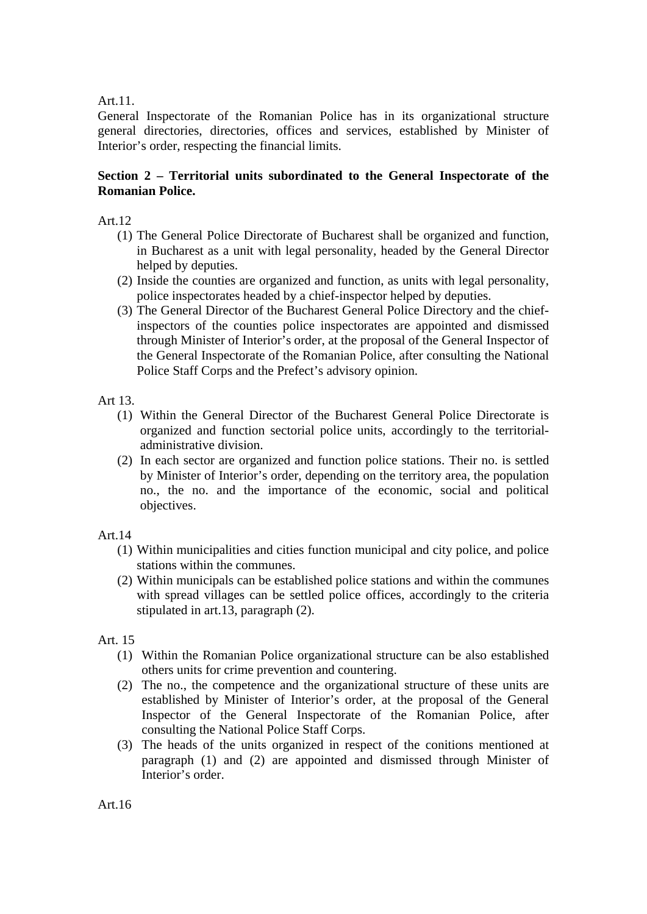### Art.11.

General Inspectorate of the Romanian Police has in its organizational structure general directories, directories, offices and services, established by Minister of Interior's order, respecting the financial limits.

## **Section 2 – Territorial units subordinated to the General Inspectorate of the Romanian Police.**

Art.12

- (1) The General Police Directorate of Bucharest shall be organized and function, in Bucharest as a unit with legal personality, headed by the General Director helped by deputies.
- (2) Inside the counties are organized and function, as units with legal personality, police inspectorates headed by a chief-inspector helped by deputies.
- (3) The General Director of the Bucharest General Police Directory and the chiefinspectors of the counties police inspectorates are appointed and dismissed through Minister of Interior's order, at the proposal of the General Inspector of the General Inspectorate of the Romanian Police, after consulting the National Police Staff Corps and the Prefect's advisory opinion.

### Art 13.

- (1) Within the General Director of the Bucharest General Police Directorate is organized and function sectorial police units, accordingly to the territorialadministrative division.
- (2) In each sector are organized and function police stations. Their no. is settled by Minister of Interior's order, depending on the territory area, the population no., the no. and the importance of the economic, social and political objectives.

### Art.14

- (1) Within municipalities and cities function municipal and city police, and police stations within the communes.
- (2) Within municipals can be established police stations and within the communes with spread villages can be settled police offices, accordingly to the criteria stipulated in art.13, paragraph (2).

## Art. 15

- (1) Within the Romanian Police organizational structure can be also established others units for crime prevention and countering.
- (2) The no., the competence and the organizational structure of these units are established by Minister of Interior's order, at the proposal of the General Inspector of the General Inspectorate of the Romanian Police, after consulting the National Police Staff Corps.
- (3) The heads of the units organized in respect of the conitions mentioned at paragraph (1) and (2) are appointed and dismissed through Minister of Interior's order.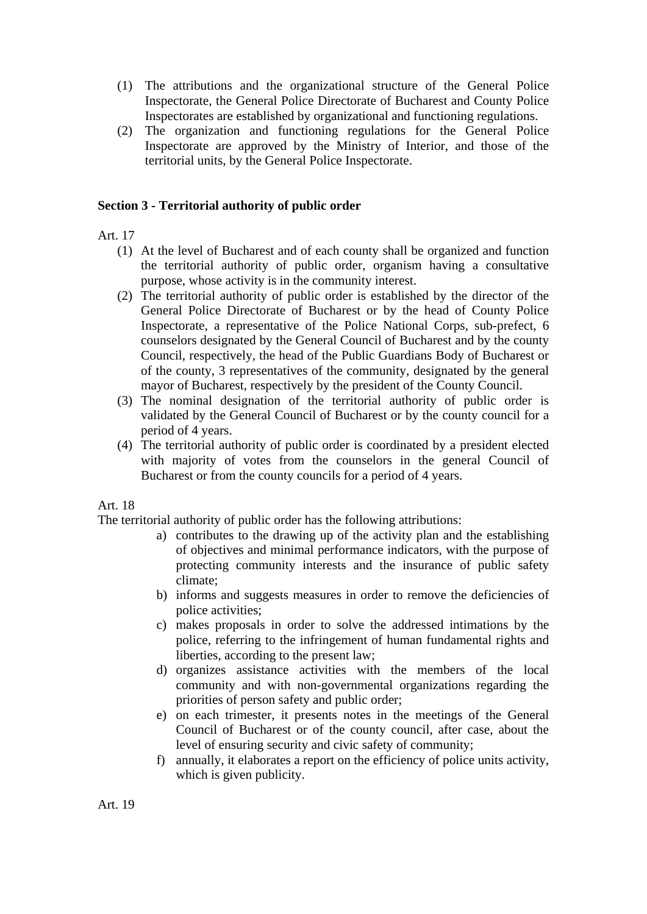- (1) The attributions and the organizational structure of the General Police Inspectorate, the General Police Directorate of Bucharest and County Police Inspectorates are established by organizational and functioning regulations.
- (2) The organization and functioning regulations for the General Police Inspectorate are approved by the Ministry of Interior, and those of the territorial units, by the General Police Inspectorate.

### **Section 3 - Territorial authority of public order**

### Art. 17

- (1) At the level of Bucharest and of each county shall be organized and function the territorial authority of public order, organism having a consultative purpose, whose activity is in the community interest.
- (2) The territorial authority of public order is established by the director of the General Police Directorate of Bucharest or by the head of County Police Inspectorate, a representative of the Police National Corps, sub-prefect, 6 counselors designated by the General Council of Bucharest and by the county Council, respectively, the head of the Public Guardians Body of Bucharest or of the county, 3 representatives of the community, designated by the general mayor of Bucharest, respectively by the president of the County Council.
- (3) The nominal designation of the territorial authority of public order is validated by the General Council of Bucharest or by the county council for a period of 4 years.
- (4) The territorial authority of public order is coordinated by a president elected with majority of votes from the counselors in the general Council of Bucharest or from the county councils for a period of 4 years.

### Art. 18

The territorial authority of public order has the following attributions:

- a) contributes to the drawing up of the activity plan and the establishing of objectives and minimal performance indicators, with the purpose of protecting community interests and the insurance of public safety climate;
- b) informs and suggests measures in order to remove the deficiencies of police activities;
- c) makes proposals in order to solve the addressed intimations by the police, referring to the infringement of human fundamental rights and liberties, according to the present law;
- d) organizes assistance activities with the members of the local community and with non-governmental organizations regarding the priorities of person safety and public order;
- e) on each trimester, it presents notes in the meetings of the General Council of Bucharest or of the county council, after case, about the level of ensuring security and civic safety of community;
- f) annually, it elaborates a report on the efficiency of police units activity, which is given publicity.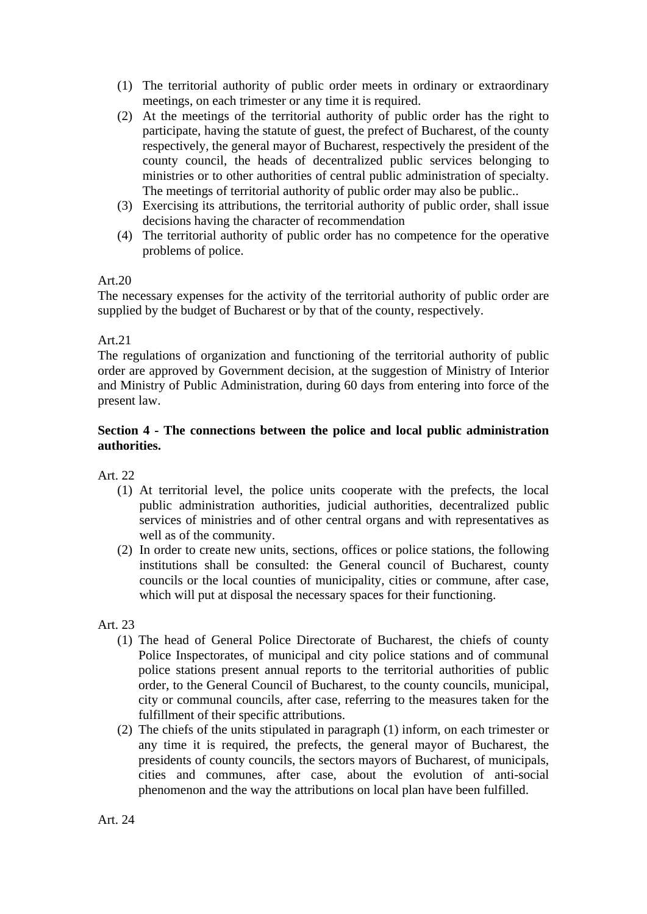- (1) The territorial authority of public order meets in ordinary or extraordinary meetings, on each trimester or any time it is required.
- (2) At the meetings of the territorial authority of public order has the right to participate, having the statute of guest, the prefect of Bucharest, of the county respectively, the general mayor of Bucharest, respectively the president of the county council, the heads of decentralized public services belonging to ministries or to other authorities of central public administration of specialty. The meetings of territorial authority of public order may also be public..
- (3) Exercising its attributions, the territorial authority of public order, shall issue decisions having the character of recommendation
- (4) The territorial authority of public order has no competence for the operative problems of police.

The necessary expenses for the activity of the territorial authority of public order are supplied by the budget of Bucharest or by that of the county, respectively.

## Art.21

The regulations of organization and functioning of the territorial authority of public order are approved by Government decision, at the suggestion of Ministry of Interior and Ministry of Public Administration, during 60 days from entering into force of the present law.

## **Section 4 - The connections between the police and local public administration authorities.**

Art. 22

- (1) At territorial level, the police units cooperate with the prefects, the local public administration authorities, judicial authorities, decentralized public services of ministries and of other central organs and with representatives as well as of the community.
- (2) In order to create new units, sections, offices or police stations, the following institutions shall be consulted: the General council of Bucharest, county councils or the local counties of municipality, cities or commune, after case, which will put at disposal the necessary spaces for their functioning.

- (1) The head of General Police Directorate of Bucharest, the chiefs of county Police Inspectorates, of municipal and city police stations and of communal police stations present annual reports to the territorial authorities of public order, to the General Council of Bucharest, to the county councils, municipal, city or communal councils, after case, referring to the measures taken for the fulfillment of their specific attributions.
- (2) The chiefs of the units stipulated in paragraph (1) inform, on each trimester or any time it is required, the prefects, the general mayor of Bucharest, the presidents of county councils, the sectors mayors of Bucharest, of municipals, cities and communes, after case, about the evolution of anti-social phenomenon and the way the attributions on local plan have been fulfilled.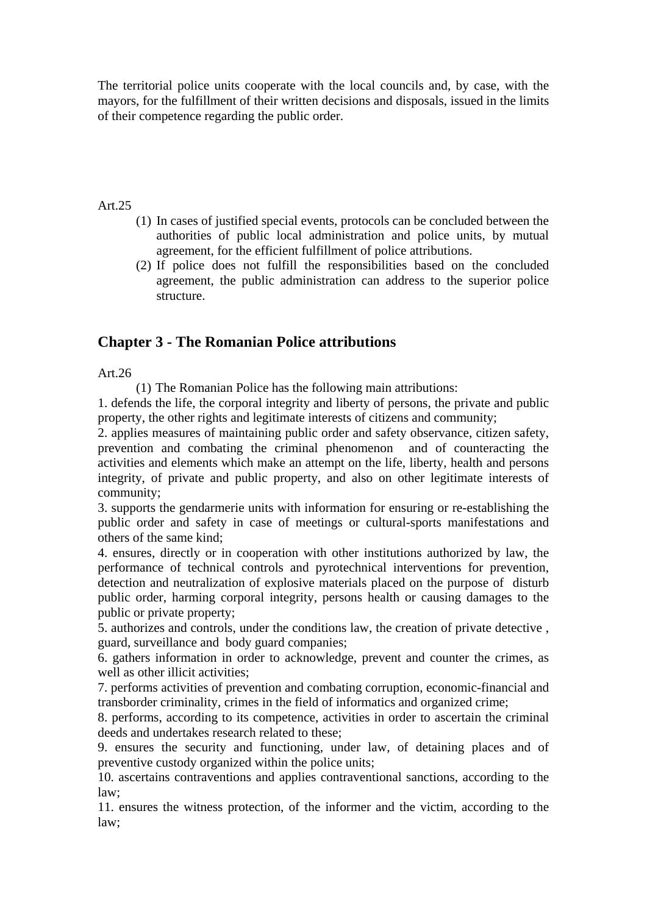The territorial police units cooperate with the local councils and, by case, with the mayors, for the fulfillment of their written decisions and disposals, issued in the limits of their competence regarding the public order.

#### Art.25

- (1) In cases of justified special events, protocols can be concluded between the authorities of public local administration and police units, by mutual agreement, for the efficient fulfillment of police attributions.
- (2) If police does not fulfill the responsibilities based on the concluded agreement, the public administration can address to the superior police structure.

## **Chapter 3 - The Romanian Police attributions**

### Art.26

(1) The Romanian Police has the following main attributions:

1. defends the life, the corporal integrity and liberty of persons, the private and public property, the other rights and legitimate interests of citizens and community;

2. applies measures of maintaining public order and safety observance, citizen safety, prevention and combating the criminal phenomenon and of counteracting the activities and elements which make an attempt on the life, liberty, health and persons integrity, of private and public property, and also on other legitimate interests of community;

3. supports the gendarmerie units with information for ensuring or re-establishing the public order and safety in case of meetings or cultural-sports manifestations and others of the same kind;

4. ensures, directly or in cooperation with other institutions authorized by law, the performance of technical controls and pyrotechnical interventions for prevention, detection and neutralization of explosive materials placed on the purpose of disturb public order, harming corporal integrity, persons health or causing damages to the public or private property;

5. authorizes and controls, under the conditions law, the creation of private detective , guard, surveillance and body guard companies;

6. gathers information in order to acknowledge, prevent and counter the crimes, as well as other illicit activities:

7. performs activities of prevention and combating corruption, economic-financial and transborder criminality, crimes in the field of informatics and organized crime;

8. performs, according to its competence, activities in order to ascertain the criminal deeds and undertakes research related to these;

9. ensures the security and functioning, under law, of detaining places and of preventive custody organized within the police units;

10. ascertains contraventions and applies contraventional sanctions, according to the law;

11. ensures the witness protection, of the informer and the victim, according to the law;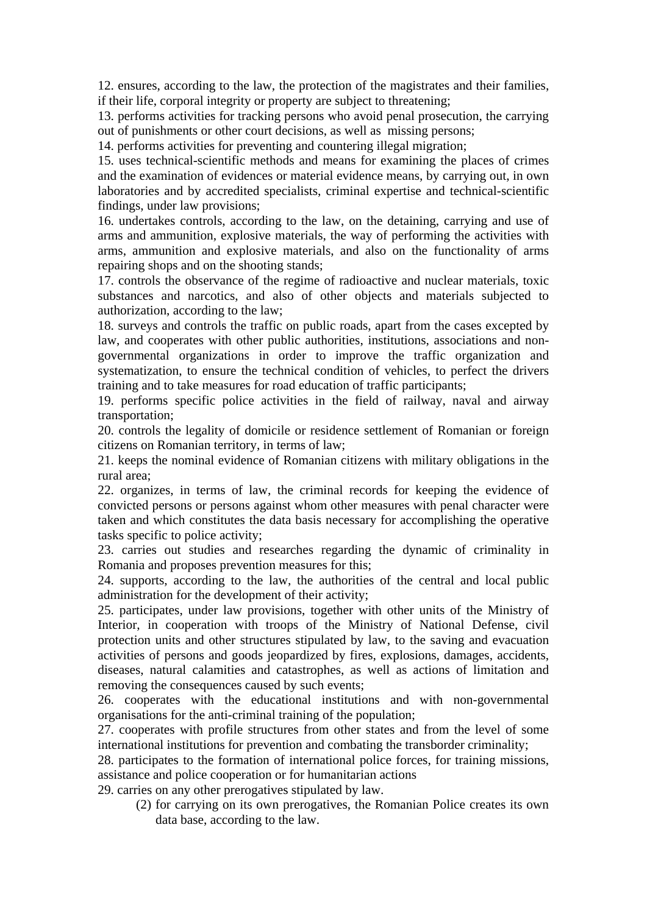12. ensures, according to the law, the protection of the magistrates and their families, if their life, corporal integrity or property are subject to threatening;

13. performs activities for tracking persons who avoid penal prosecution, the carrying out of punishments or other court decisions, as well as missing persons;

14. performs activities for preventing and countering illegal migration;

15. uses technical-scientific methods and means for examining the places of crimes and the examination of evidences or material evidence means, by carrying out, in own laboratories and by accredited specialists, criminal expertise and technical-scientific findings, under law provisions;

16. undertakes controls, according to the law, on the detaining, carrying and use of arms and ammunition, explosive materials, the way of performing the activities with arms, ammunition and explosive materials, and also on the functionality of arms repairing shops and on the shooting stands;

17. controls the observance of the regime of radioactive and nuclear materials, toxic substances and narcotics, and also of other objects and materials subjected to authorization, according to the law;

18. surveys and controls the traffic on public roads, apart from the cases excepted by law, and cooperates with other public authorities, institutions, associations and nongovernmental organizations in order to improve the traffic organization and systematization, to ensure the technical condition of vehicles, to perfect the drivers training and to take measures for road education of traffic participants;

19. performs specific police activities in the field of railway, naval and airway transportation;

20. controls the legality of domicile or residence settlement of Romanian or foreign citizens on Romanian territory, in terms of law;

21. keeps the nominal evidence of Romanian citizens with military obligations in the rural area;

22. organizes, in terms of law, the criminal records for keeping the evidence of convicted persons or persons against whom other measures with penal character were taken and which constitutes the data basis necessary for accomplishing the operative tasks specific to police activity;

23. carries out studies and researches regarding the dynamic of criminality in Romania and proposes prevention measures for this;

24. supports, according to the law, the authorities of the central and local public administration for the development of their activity;

25. participates, under law provisions, together with other units of the Ministry of Interior, in cooperation with troops of the Ministry of National Defense, civil protection units and other structures stipulated by law, to the saving and evacuation activities of persons and goods jeopardized by fires, explosions, damages, accidents, diseases, natural calamities and catastrophes, as well as actions of limitation and removing the consequences caused by such events;

26. cooperates with the educational institutions and with non-governmental organisations for the anti-criminal training of the population;

27. cooperates with profile structures from other states and from the level of some international institutions for prevention and combating the transborder criminality;

28. participates to the formation of international police forces, for training missions, assistance and police cooperation or for humanitarian actions

29. carries on any other prerogatives stipulated by law.

(2) for carrying on its own prerogatives, the Romanian Police creates its own data base, according to the law.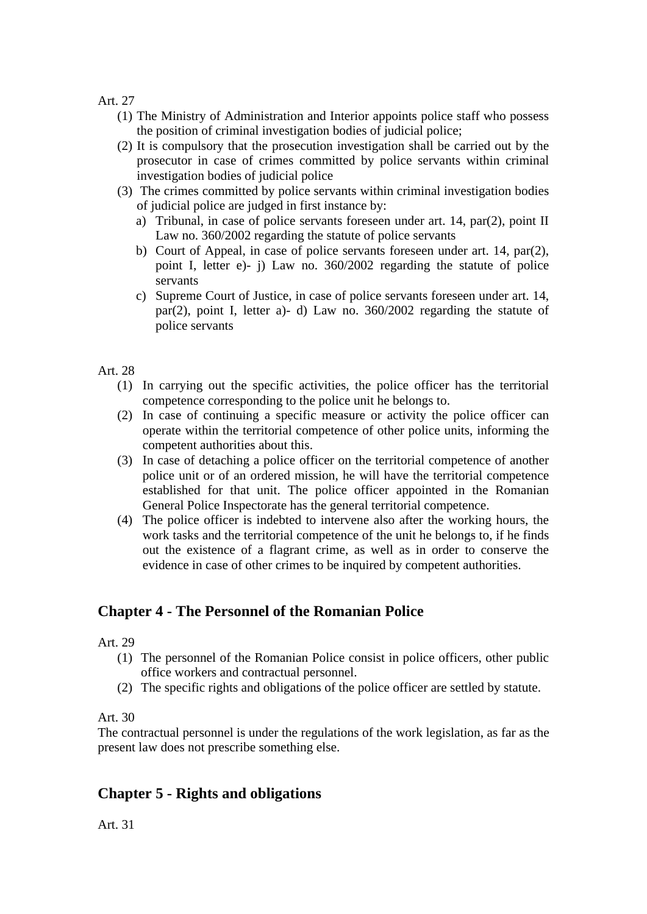- (1) The Ministry of Administration and Interior appoints police staff who possess the position of criminal investigation bodies of judicial police;
- (2) It is compulsory that the prosecution investigation shall be carried out by the prosecutor in case of crimes committed by police servants within criminal investigation bodies of judicial police
- (3) The crimes committed by police servants within criminal investigation bodies of judicial police are judged in first instance by:
	- a) Tribunal, in case of police servants foreseen under art. 14, par(2), point II Law no. 360/2002 regarding the statute of police servants
	- b) Court of Appeal, in case of police servants foreseen under art. 14, par(2), point I, letter e)- j) Law no. 360/2002 regarding the statute of police servants
	- c) Supreme Court of Justice, in case of police servants foreseen under art. 14, par(2), point I, letter a)- d) Law no. 360/2002 regarding the statute of police servants

### Art. 28

- (1) In carrying out the specific activities, the police officer has the territorial competence corresponding to the police unit he belongs to.
- (2) In case of continuing a specific measure or activity the police officer can operate within the territorial competence of other police units, informing the competent authorities about this.
- (3) In case of detaching a police officer on the territorial competence of another police unit or of an ordered mission, he will have the territorial competence established for that unit. The police officer appointed in the Romanian General Police Inspectorate has the general territorial competence.
- (4) The police officer is indebted to intervene also after the working hours, the work tasks and the territorial competence of the unit he belongs to, if he finds out the existence of a flagrant crime, as well as in order to conserve the evidence in case of other crimes to be inquired by competent authorities.

## **Chapter 4 - The Personnel of the Romanian Police**

Art. 29

- (1) The personnel of the Romanian Police consist in police officers, other public office workers and contractual personnel.
- (2) The specific rights and obligations of the police officer are settled by statute.

### Art. 30

The contractual personnel is under the regulations of the work legislation, as far as the present law does not prescribe something else.

## **Chapter 5 - Rights and obligations**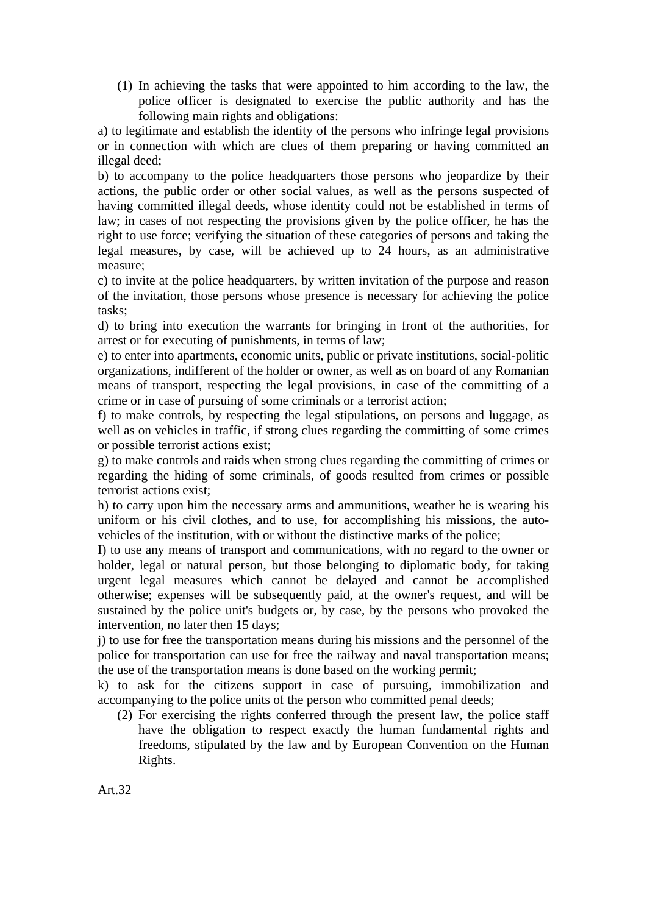(1) In achieving the tasks that were appointed to him according to the law, the police officer is designated to exercise the public authority and has the following main rights and obligations:

a) to legitimate and establish the identity of the persons who infringe legal provisions or in connection with which are clues of them preparing or having committed an illegal deed;

b) to accompany to the police headquarters those persons who jeopardize by their actions, the public order or other social values, as well as the persons suspected of having committed illegal deeds, whose identity could not be established in terms of law; in cases of not respecting the provisions given by the police officer, he has the right to use force; verifying the situation of these categories of persons and taking the legal measures, by case, will be achieved up to 24 hours, as an administrative measure;

c) to invite at the police headquarters, by written invitation of the purpose and reason of the invitation, those persons whose presence is necessary for achieving the police tasks;

d) to bring into execution the warrants for bringing in front of the authorities, for arrest or for executing of punishments, in terms of law;

e) to enter into apartments, economic units, public or private institutions, social-politic organizations, indifferent of the holder or owner, as well as on board of any Romanian means of transport, respecting the legal provisions, in case of the committing of a crime or in case of pursuing of some criminals or a terrorist action;

f) to make controls, by respecting the legal stipulations, on persons and luggage, as well as on vehicles in traffic, if strong clues regarding the committing of some crimes or possible terrorist actions exist;

g) to make controls and raids when strong clues regarding the committing of crimes or regarding the hiding of some criminals, of goods resulted from crimes or possible terrorist actions exist;

h) to carry upon him the necessary arms and ammunitions, weather he is wearing his uniform or his civil clothes, and to use, for accomplishing his missions, the autovehicles of the institution, with or without the distinctive marks of the police;

I) to use any means of transport and communications, with no regard to the owner or holder, legal or natural person, but those belonging to diplomatic body, for taking urgent legal measures which cannot be delayed and cannot be accomplished otherwise; expenses will be subsequently paid, at the owner's request, and will be sustained by the police unit's budgets or, by case, by the persons who provoked the intervention, no later then 15 days;

j) to use for free the transportation means during his missions and the personnel of the police for transportation can use for free the railway and naval transportation means; the use of the transportation means is done based on the working permit;

k) to ask for the citizens support in case of pursuing, immobilization and accompanying to the police units of the person who committed penal deeds;

(2) For exercising the rights conferred through the present law, the police staff have the obligation to respect exactly the human fundamental rights and freedoms, stipulated by the law and by European Convention on the Human Rights.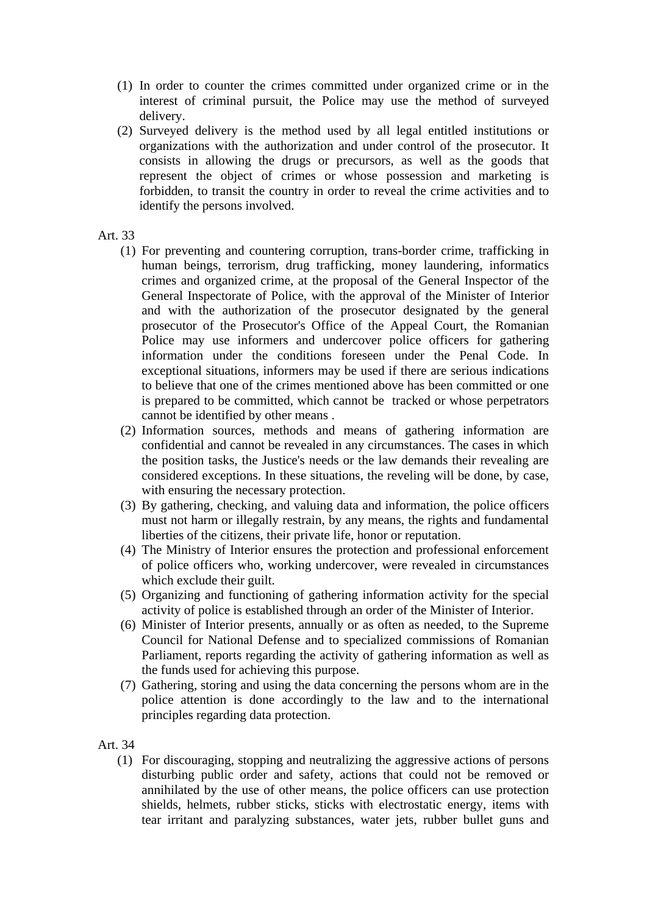- (1) In order to counter the crimes committed under organized crime or in the interest of criminal pursuit, the Police may use the method of surveyed delivery.
- (2) Surveyed delivery is the method used by all legal entitled institutions or organizations with the authorization and under control of the prosecutor. It consists in allowing the drugs or precursors, as well as the goods that represent the object of crimes or whose possession and marketing is forbidden, to transit the country in order to reveal the crime activities and to identify the persons involved.
- Art. 33
	- (1) For preventing and countering corruption, trans-border crime, trafficking in human beings, terrorism, drug trafficking, money laundering, informatics crimes and organized crime, at the proposal of the General Inspector of the General Inspectorate of Police, with the approval of the Minister of Interior and with the authorization of the prosecutor designated by the general prosecutor of the Prosecutor's Office of the Appeal Court, the Romanian Police may use informers and undercover police officers for gathering information under the conditions foreseen under the Penal Code. In exceptional situations, informers may be used if there are serious indications to believe that one of the crimes mentioned above has been committed or one is prepared to be committed, which cannot be tracked or whose perpetrators cannot be identified by other means .
	- (2) Information sources, methods and means of gathering information are confidential and cannot be revealed in any circumstances. The cases in which the position tasks, the Justice's needs or the law demands their revealing are considered exceptions. In these situations, the reveling will be done, by case, with ensuring the necessary protection.
	- (3) By gathering, checking, and valuing data and information, the police officers must not harm or illegally restrain, by any means, the rights and fundamental liberties of the citizens, their private life, honor or reputation.
	- (4) The Ministry of Interior ensures the protection and professional enforcement of police officers who, working undercover, were revealed in circumstances which exclude their guilt.
	- (5) Organizing and functioning of gathering information activity for the special activity of police is established through an order of the Minister of Interior.
	- (6) Minister of Interior presents, annually or as often as needed, to the Supreme Council for National Defense and to specialized commissions of Romanian Parliament, reports regarding the activity of gathering information as well as the funds used for achieving this purpose.
	- (7) Gathering, storing and using the data concerning the persons whom are in the police attention is done accordingly to the law and to the international principles regarding data protection.

(1) For discouraging, stopping and neutralizing the aggressive actions of persons disturbing public order and safety, actions that could not be removed or annihilated by the use of other means, the police officers can use protection shields, helmets, rubber sticks, sticks with electrostatic energy, items with tear irritant and paralyzing substances, water jets, rubber bullet guns and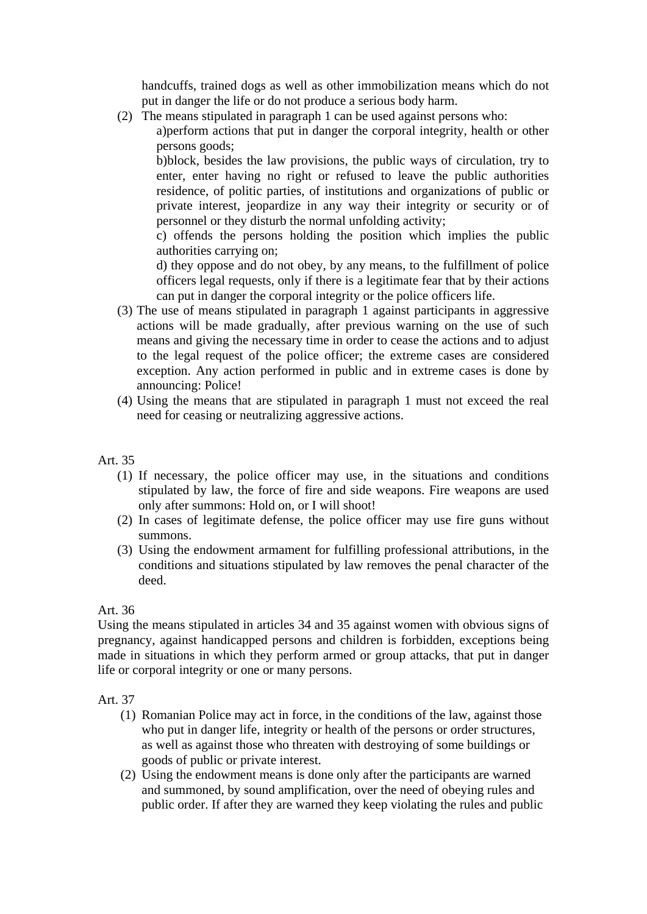handcuffs, trained dogs as well as other immobilization means which do not put in danger the life or do not produce a serious body harm.

(2) The means stipulated in paragraph 1 can be used against persons who:

a)perform actions that put in danger the corporal integrity, health or other persons goods;

b)block, besides the law provisions, the public ways of circulation, try to enter, enter having no right or refused to leave the public authorities residence, of politic parties, of institutions and organizations of public or private interest, jeopardize in any way their integrity or security or of personnel or they disturb the normal unfolding activity;

c) offends the persons holding the position which implies the public authorities carrying on;

d) they oppose and do not obey, by any means, to the fulfillment of police officers legal requests, only if there is a legitimate fear that by their actions can put in danger the corporal integrity or the police officers life.

- (3) The use of means stipulated in paragraph 1 against participants in aggressive actions will be made gradually, after previous warning on the use of such means and giving the necessary time in order to cease the actions and to adjust to the legal request of the police officer; the extreme cases are considered exception. Any action performed in public and in extreme cases is done by announcing: Police!
- (4) Using the means that are stipulated in paragraph 1 must not exceed the real need for ceasing or neutralizing aggressive actions.

## Art. 35

- (1) If necessary, the police officer may use, in the situations and conditions stipulated by law, the force of fire and side weapons. Fire weapons are used only after summons: Hold on, or I will shoot!
- (2) In cases of legitimate defense, the police officer may use fire guns without summons.
- (3) Using the endowment armament for fulfilling professional attributions, in the conditions and situations stipulated by law removes the penal character of the deed.

## Art. 36

Using the means stipulated in articles 34 and 35 against women with obvious signs of pregnancy, against handicapped persons and children is forbidden, exceptions being made in situations in which they perform armed or group attacks, that put in danger life or corporal integrity or one or many persons.

- (1) Romanian Police may act in force, in the conditions of the law, against those who put in danger life, integrity or health of the persons or order structures, as well as against those who threaten with destroying of some buildings or goods of public or private interest.
- (2) Using the endowment means is done only after the participants are warned and summoned, by sound amplification, over the need of obeying rules and public order. If after they are warned they keep violating the rules and public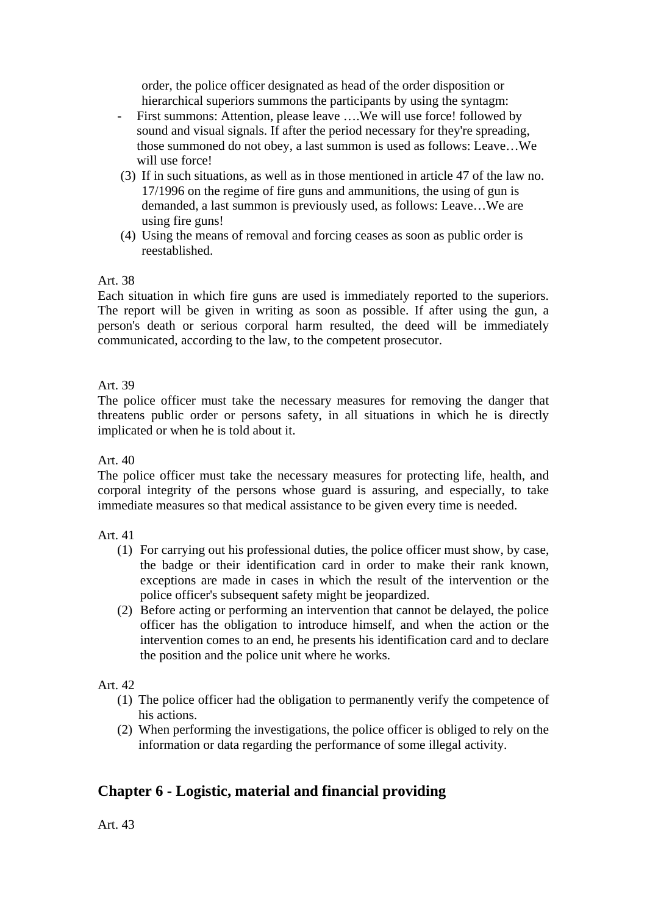order, the police officer designated as head of the order disposition or hierarchical superiors summons the participants by using the syntagm:

- First summons: Attention, please leave ….We will use force! followed by sound and visual signals. If after the period necessary for they're spreading, those summoned do not obey, a last summon is used as follows: Leave…We will use force!
- (3) If in such situations, as well as in those mentioned in article 47 of the law no. 17/1996 on the regime of fire guns and ammunitions, the using of gun is demanded, a last summon is previously used, as follows: Leave…We are using fire guns!
- (4) Using the means of removal and forcing ceases as soon as public order is reestablished.

### Art. 38

Each situation in which fire guns are used is immediately reported to the superiors. The report will be given in writing as soon as possible. If after using the gun, a person's death or serious corporal harm resulted, the deed will be immediately communicated, according to the law, to the competent prosecutor.

Art. 39

The police officer must take the necessary measures for removing the danger that threatens public order or persons safety, in all situations in which he is directly implicated or when he is told about it.

Art. 40

The police officer must take the necessary measures for protecting life, health, and corporal integrity of the persons whose guard is assuring, and especially, to take immediate measures so that medical assistance to be given every time is needed.

Art. 41

- (1) For carrying out his professional duties, the police officer must show, by case, the badge or their identification card in order to make their rank known, exceptions are made in cases in which the result of the intervention or the police officer's subsequent safety might be jeopardized.
- (2) Before acting or performing an intervention that cannot be delayed, the police officer has the obligation to introduce himself, and when the action or the intervention comes to an end, he presents his identification card and to declare the position and the police unit where he works.

Art. 42

- (1) The police officer had the obligation to permanently verify the competence of his actions.
- (2) When performing the investigations, the police officer is obliged to rely on the information or data regarding the performance of some illegal activity.

# **Chapter 6 - Logistic, material and financial providing**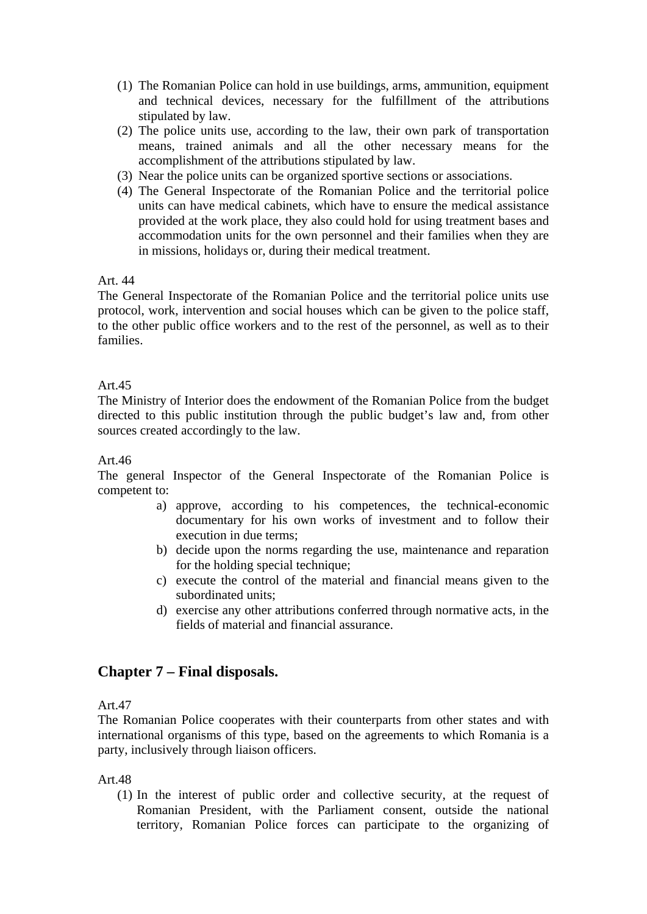- (1) The Romanian Police can hold in use buildings, arms, ammunition, equipment and technical devices, necessary for the fulfillment of the attributions stipulated by law.
- (2) The police units use, according to the law, their own park of transportation means, trained animals and all the other necessary means for the accomplishment of the attributions stipulated by law.
- (3) Near the police units can be organized sportive sections or associations.
- (4) The General Inspectorate of the Romanian Police and the territorial police units can have medical cabinets, which have to ensure the medical assistance provided at the work place, they also could hold for using treatment bases and accommodation units for the own personnel and their families when they are in missions, holidays or, during their medical treatment.

The General Inspectorate of the Romanian Police and the territorial police units use protocol, work, intervention and social houses which can be given to the police staff, to the other public office workers and to the rest of the personnel, as well as to their families.

### Art.45

The Ministry of Interior does the endowment of the Romanian Police from the budget directed to this public institution through the public budget's law and, from other sources created accordingly to the law.

### Art.46

The general Inspector of the General Inspectorate of the Romanian Police is competent to:

- a) approve, according to his competences, the technical-economic documentary for his own works of investment and to follow their execution in due terms;
- b) decide upon the norms regarding the use, maintenance and reparation for the holding special technique;
- c) execute the control of the material and financial means given to the subordinated units;
- d) exercise any other attributions conferred through normative acts, in the fields of material and financial assurance.

## **Chapter 7 – Final disposals.**

Art.47

The Romanian Police cooperates with their counterparts from other states and with international organisms of this type, based on the agreements to which Romania is a party, inclusively through liaison officers.

Art.48

(1) In the interest of public order and collective security, at the request of Romanian President, with the Parliament consent, outside the national territory, Romanian Police forces can participate to the organizing of